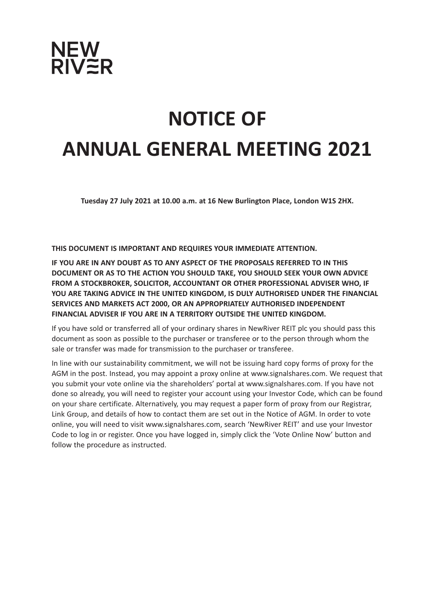

# **NOTICE OF ANNUAL GENERAL MEETING 2021**

**Tuesday 27 July 2021 at 10.00 a.m. at 16 New Burlington Place, London W1S 2HX.**

**THIS DOCUMENT IS IMPORTANT AND REQUIRES YOUR IMMEDIATE ATTENTION.**

**IF YOU ARE IN ANY DOUBT AS TO ANY ASPECT OF THE PROPOSALS REFERRED TO IN THIS DOCUMENT OR AS TO THE ACTION YOU SHOULD TAKE, YOU SHOULD SEEK YOUR OWN ADVICE FROM A STOCKBROKER, SOLICITOR, ACCOUNTANT OR OTHER PROFESSIONAL ADVISER WHO, IF YOU ARE TAKING ADVICE IN THE UNITED KINGDOM, IS DULY AUTHORISED UNDER THE FINANCIAL SERVICES AND MARKETS ACT 2000, OR AN APPROPRIATELY AUTHORISED INDEPENDENT FINANCIAL ADVISER IF YOU ARE IN A TERRITORY OUTSIDE THE UNITED KINGDOM.**

If you have sold or transferred all of your ordinary shares in NewRiver REIT plc you should pass this document as soon as possible to the purchaser or transferee or to the person through whom the sale or transfer was made for transmission to the purchaser or transferee.

In line with our sustainability commitment, we will not be issuing hard copy forms of proxy for the AGM in the post. Instead, you may appoint a proxy online at www.signalshares.com. We request that you submit your vote online via the shareholders' portal at www.signalshares.com. If you have not done so already, you will need to register your account using your Investor Code, which can be found on your share certificate. Alternatively, you may request a paper form of proxy from our Registrar, Link Group, and details of how to contact them are set out in the Notice of AGM. In order to vote online, you will need to visit www.signalshares.com, search 'NewRiver REIT' and use your Investor Code to log in or register. Once you have logged in, simply click the 'Vote Online Now' button and follow the procedure as instructed.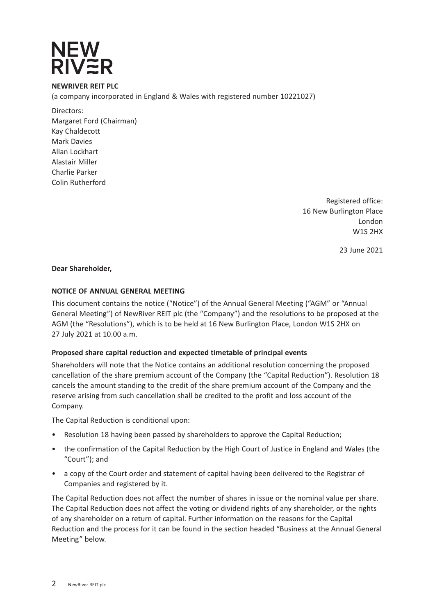# NEW<br>RIV≊R

#### **NEWRIVER REIT PLC**

(a company incorporated in England & Wales with registered number 10221027)

Directors: Margaret Ford (Chairman) Kay Chaldecott Mark Davies Allan Lockhart Alastair Miller Charlie Parker Colin Rutherford

> Registered office: 16 New Burlington Place London W1S 2HX

> > 23 June 2021

#### **Dear Shareholder,**

#### **NOTICE OF ANNUAL GENERAL MEETING**

This document contains the notice ("Notice") of the Annual General Meeting ("AGM" or "Annual General Meeting") of NewRiver REIT plc (the "Company") and the resolutions to be proposed at the AGM (the "Resolutions"), which is to be held at 16 New Burlington Place, London W1S 2HX on 27 July 2021 at 10.00 a.m.

# **Proposed share capital reduction and expected timetable of principal events**

Shareholders will note that the Notice contains an additional resolution concerning the proposed cancellation of the share premium account of the Company (the "Capital Reduction"). Resolution 18 cancels the amount standing to the credit of the share premium account of the Company and the reserve arising from such cancellation shall be credited to the profit and loss account of the Company.

The Capital Reduction is conditional upon:

- Resolution 18 having been passed by shareholders to approve the Capital Reduction;
- the confirmation of the Capital Reduction by the High Court of Justice in England and Wales (the "Court"); and
- a copy of the Court order and statement of capital having been delivered to the Registrar of Companies and registered by it.

The Capital Reduction does not affect the number of shares in issue or the nominal value per share. The Capital Reduction does not affect the voting or dividend rights of any shareholder, or the rights of any shareholder on a return of capital. Further information on the reasons for the Capital Reduction and the process for it can be found in the section headed "Business at the Annual General Meeting" below.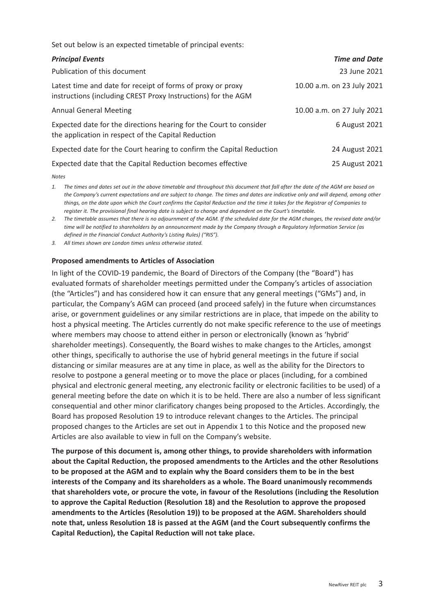Set out below is an expected timetable of principal events:

| <b>Principal Events</b>                                                                                                      | <b>Time and Date</b>       |
|------------------------------------------------------------------------------------------------------------------------------|----------------------------|
| Publication of this document                                                                                                 | 23 June 2021               |
| Latest time and date for receipt of forms of proxy or proxy<br>instructions (including CREST Proxy Instructions) for the AGM | 10.00 a.m. on 23 July 2021 |
| <b>Annual General Meeting</b>                                                                                                | 10.00 a.m. on 27 July 2021 |
| Expected date for the directions hearing for the Court to consider<br>the application in respect of the Capital Reduction    | 6 August 2021              |
| Expected date for the Court hearing to confirm the Capital Reduction                                                         | 24 August 2021             |
| Expected date that the Capital Reduction becomes effective                                                                   | 25 August 2021             |

- *Notes*
- *1. The times and dates set out in the above timetable and throughout this document that fall after the date of the AGM are based on the Company's current expectations and are subject to change. The times and dates are indicative only and will depend, among other things, on the date upon which the Court confirms the Capital Reduction and the time it takes for the Registrar of Companies to register it. The provisional final hearing date is subject to change and dependent on the Court's timetable.*
- *2. The timetable assumes that there is no adjournment of the AGM. If the scheduled date for the AGM changes, the revised date and/or time will be notified to shareholders by an announcement made by the Company through a Regulatory Information Service (as defined in the Financial Conduct Authority's Listing Rules) ("RIS").*

*3. All times shown are London times unless otherwise stated.*

#### **Proposed amendments to Articles of Association**

In light of the COVID-19 pandemic, the Board of Directors of the Company (the "Board") has evaluated formats of shareholder meetings permitted under the Company's articles of association (the "Articles") and has considered how it can ensure that any general meetings ("GMs") and, in particular, the Company's AGM can proceed (and proceed safely) in the future when circumstances arise, or government guidelines or any similar restrictions are in place, that impede on the ability to host a physical meeting. The Articles currently do not make specific reference to the use of meetings where members may choose to attend either in person or electronically (known as 'hybrid' shareholder meetings). Consequently, the Board wishes to make changes to the Articles, amongst other things, specifically to authorise the use of hybrid general meetings in the future if social distancing or similar measures are at any time in place, as well as the ability for the Directors to resolve to postpone a general meeting or to move the place or places (including, for a combined physical and electronic general meeting, any electronic facility or electronic facilities to be used) of a general meeting before the date on which it is to be held. There are also a number of less significant consequential and other minor clarificatory changes being proposed to the Articles. Accordingly, the Board has proposed Resolution 19 to introduce relevant changes to the Articles. The principal proposed changes to the Articles are set out in Appendix 1 to this Notice and the proposed new Articles are also available to view in full on the Company's website.

**The purpose of this document is, among other things, to provide shareholders with information about the Capital Reduction, the proposed amendments to the Articles and the other Resolutions to be proposed at the AGM and to explain why the Board considers them to be in the best interests of the Company and its shareholders as a whole. The Board unanimously recommends that shareholders vote, or procure the vote, in favour of the Resolutions (including the Resolution to approve the Capital Reduction (Resolution 18) and the Resolution to approve the proposed amendments to the Articles (Resolution 19)) to be proposed at the AGM. Shareholders should note that, unless Resolution 18 is passed at the AGM (and the Court subsequently confirms the Capital Reduction), the Capital Reduction will not take place.**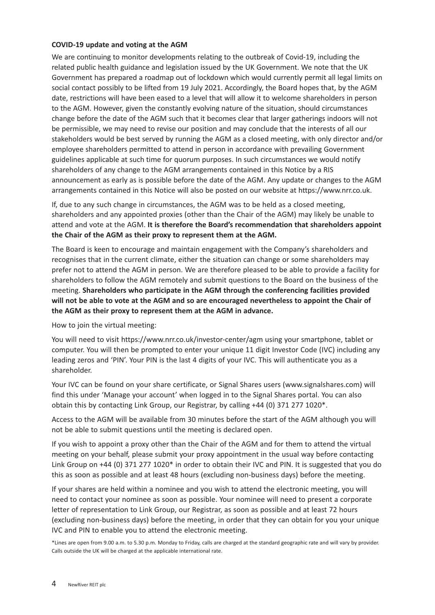#### **COVID19 update and voting at the AGM**

We are continuing to monitor developments relating to the outbreak of Covid-19, including the related public health guidance and legislation issued by the UK Government. We note that the UK Government has prepared a roadmap out of lockdown which would currently permit all legal limits on social contact possibly to be lifted from 19 July 2021. Accordingly, the Board hopes that, by the AGM date, restrictions will have been eased to a level that will allow it to welcome shareholders in person to the AGM. However, given the constantly evolving nature of the situation, should circumstances change before the date of the AGM such that it becomes clear that larger gatherings indoors will not be permissible, we may need to revise our position and may conclude that the interests of all our stakeholders would be best served by running the AGM as a closed meeting, with only director and/or employee shareholders permitted to attend in person in accordance with prevailing Government guidelines applicable at such time for quorum purposes. In such circumstances we would notify shareholders of any change to the AGM arrangements contained in this Notice by a RIS announcement as early as is possible before the date of the AGM. Any update or changes to the AGM arrangements contained in this Notice will also be posted on our website at https://www.nrr.co.uk.

If, due to any such change in circumstances, the AGM was to be held as a closed meeting, shareholders and any appointed proxies (other than the Chair of the AGM) may likely be unable to attend and vote at the AGM. **It is therefore the Board's recommendation that shareholders appoint the Chair of the AGM as their proxy to represent them at the AGM.**

The Board is keen to encourage and maintain engagement with the Company's shareholders and recognises that in the current climate, either the situation can change or some shareholders may prefer not to attend the AGM in person. We are therefore pleased to be able to provide a facility for shareholders to follow the AGM remotely and submit questions to the Board on the business of the meeting. **Shareholders who participate in the AGM through the conferencing facilities provided will not be able to vote at the AGM and so are encouraged nevertheless to appoint the Chair of the AGM as their proxy to represent them at the AGM in advance.**

How to join the virtual meeting:

You will need to visit https://www.nrr.co.uk/investor-center/agm using your smartphone, tablet or computer. You will then be prompted to enter your unique 11 digit Investor Code (IVC) including any leading zeros and 'PIN'. Your PIN is the last 4 digits of your IVC. This will authenticate you as a shareholder.

Your IVC can be found on your share certificate, or Signal Shares users (www.signalshares.com) will find this under 'Manage your account' when logged in to the Signal Shares portal. You can also obtain this by contacting Link Group, our Registrar, by calling +44 (0) 371 277 1020\*.

Access to the AGM will be available from 30 minutes before the start of the AGM although you will not be able to submit questions until the meeting is declared open.

If you wish to appoint a proxy other than the Chair of the AGM and for them to attend the virtual meeting on your behalf, please submit your proxy appointment in the usual way before contacting Link Group on +44 (0) 371 277 1020\* in order to obtain their IVC and PIN. It is suggested that you do this as soon as possible and at least 48 hours (excluding non-business days) before the meeting.

If your shares are held within a nominee and you wish to attend the electronic meeting, you will need to contact your nominee as soon as possible. Your nominee will need to present a corporate letter of representation to Link Group, our Registrar, as soon as possible and at least 72 hours (excluding non-business days) before the meeting, in order that they can obtain for you your unique IVC and PIN to enable you to attend the electronic meeting.

\*Lines are open from 9.00 a.m. to 5.30 p.m. Monday to Friday, calls are charged at the standard geographic rate and will vary by provider. Calls outside the UK will be charged at the applicable international rate.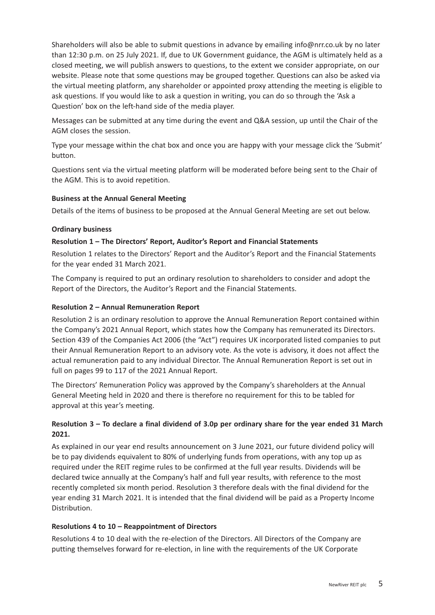Shareholders will also be able to submit questions in advance by emailing info@nrr.co.uk by no later than 12:30 p.m. on 25 July 2021. If, due to UK Government guidance, the AGM is ultimately held as a closed meeting, we will publish answers to questions, to the extent we consider appropriate, on our website. Please note that some questions may be grouped together. Questions can also be asked via the virtual meeting platform, any shareholder or appointed proxy attending the meeting is eligible to ask questions. If you would like to ask a question in writing, you can do so through the 'Ask a Question' box on the left-hand side of the media player.

Messages can be submitted at any time during the event and Q&A session, up until the Chair of the AGM closes the session.

Type your message within the chat box and once you are happy with your message click the 'Submit' button.

Questions sent via the virtual meeting platform will be moderated before being sent to the Chair of the AGM. This is to avoid repetition.

#### **Business at the Annual General Meeting**

Details of the items of business to be proposed at the Annual General Meeting are set out below.

#### **Ordinary business**

#### **Resolution 1 – The Directors' Report, Auditor's Report and Financial Statements**

Resolution 1 relates to the Directors' Report and the Auditor's Report and the Financial Statements for the year ended 31 March 2021.

The Company is required to put an ordinary resolution to shareholders to consider and adopt the Report of the Directors, the Auditor's Report and the Financial Statements.

#### **Resolution 2 – Annual Remuneration Report**

Resolution 2 is an ordinary resolution to approve the Annual Remuneration Report contained within the Company's 2021 Annual Report, which states how the Company has remunerated its Directors. Section 439 of the Companies Act 2006 (the "Act") requires UK incorporated listed companies to put their Annual Remuneration Report to an advisory vote. As the vote is advisory, it does not affect the actual remuneration paid to any individual Director. The Annual Remuneration Report is set out in full on pages 99 to 117 of the 2021 Annual Report.

The Directors' Remuneration Policy was approved by the Company's shareholders at the Annual General Meeting held in 2020 and there is therefore no requirement for this to be tabled for approval at this year's meeting.

# **Resolution 3 – To declare a final dividend of 3.0p per ordinary share for the year ended 31 March 2021.**

As explained in our year end results announcement on 3 June 2021, our future dividend policy will be to pay dividends equivalent to 80% of underlying funds from operations, with any top up as required under the REIT regime rules to be confirmed at the full year results. Dividends will be declared twice annually at the Company's half and full year results, with reference to the most recently completed six month period. Resolution 3 therefore deals with the final dividend for the year ending 31 March 2021. It is intended that the final dividend will be paid as a Property Income Distribution.

#### **Resolutions 4 to 10 – Reappointment of Directors**

Resolutions 4 to 10 deal with the re-election of the Directors. All Directors of the Company are putting themselves forward for re-election, in line with the requirements of the UK Corporate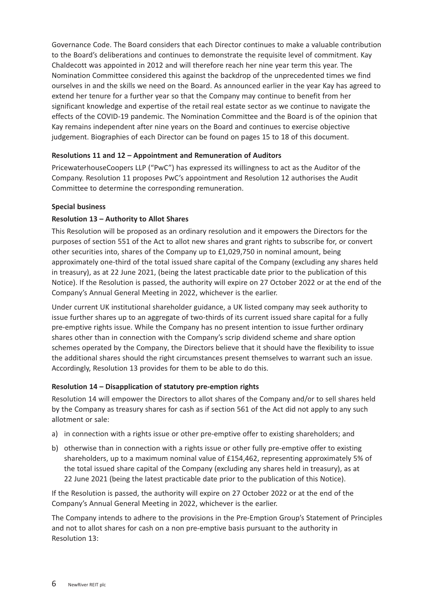Governance Code. The Board considers that each Director continues to make a valuable contribution to the Board's deliberations and continues to demonstrate the requisite level of commitment. Kay Chaldecott was appointed in 2012 and will therefore reach her nine year term this year. The Nomination Committee considered this against the backdrop of the unprecedented times we find ourselves in and the skills we need on the Board. As announced earlier in the year Kay has agreed to extend her tenure for a further year so that the Company may continue to benefit from her significant knowledge and expertise of the retail real estate sector as we continue to navigate the effects of the COVID-19 pandemic. The Nomination Committee and the Board is of the opinion that Kay remains independent after nine years on the Board and continues to exercise objective judgement. Biographies of each Director can be found on pages 15 to 18 of this document.

#### **Resolutions 11 and 12 – Appointment and Remuneration of Auditors**

PricewaterhouseCoopers LLP ("PwC") has expressed its willingness to act as the Auditor of the Company. Resolution 11 proposes PwC's appointment and Resolution 12 authorises the Audit Committee to determine the corresponding remuneration.

#### **Special business**

#### **Resolution 13 – Authority to Allot Shares**

This Resolution will be proposed as an ordinary resolution and it empowers the Directors for the purposes of section 551 of the Act to allot new shares and grant rights to subscribe for, or convert other securities into, shares of the Company up to £1,029,750 in nominal amount, being approximately one-third of the total issued share capital of the Company (excluding any shares held in treasury), as at 22 June 2021, (being the latest practicable date prior to the publication of this Notice). If the Resolution is passed, the authority will expire on 27 October 2022 or at the end of the Company's Annual General Meeting in 2022, whichever is the earlier.

Under current UK institutional shareholder guidance, a UK listed company may seek authority to issue further shares up to an aggregate of two-thirds of its current issued share capital for a fully preemptive rights issue. While the Company has no present intention to issue further ordinary shares other than in connection with the Company's scrip dividend scheme and share option schemes operated by the Company, the Directors believe that it should have the flexibility to issue the additional shares should the right circumstances present themselves to warrant such an issue. Accordingly, Resolution 13 provides for them to be able to do this.

#### **Resolution 14 – Disapplication of statutory pre-emption rights**

Resolution 14 will empower the Directors to allot shares of the Company and/or to sell shares held by the Company as treasury shares for cash as if section 561 of the Act did not apply to any such allotment or sale:

- a) in connection with a rights issue or other pre-emptive offer to existing shareholders; and
- b) otherwise than in connection with a rights issue or other fully pre-emptive offer to existing shareholders, up to a maximum nominal value of £154,462, representing approximately 5% of the total issued share capital of the Company (excluding any shares held in treasury), as at 22 June 2021 (being the latest practicable date prior to the publication of this Notice).

If the Resolution is passed, the authority will expire on 27 October 2022 or at the end of the Company's Annual General Meeting in 2022, whichever is the earlier.

The Company intends to adhere to the provisions in the Pre-Emption Group's Statement of Principles and not to allot shares for cash on a non pre-emptive basis pursuant to the authority in Resolution 13: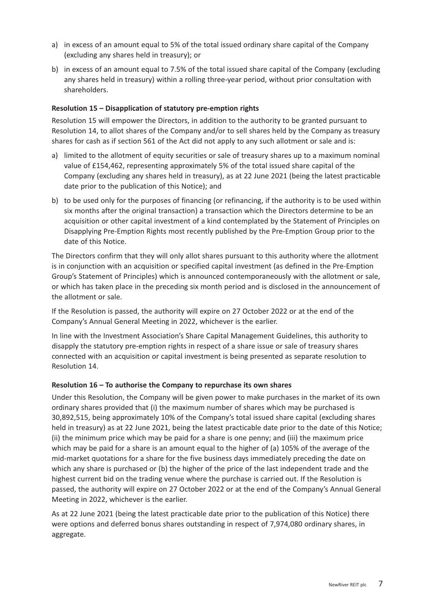- a) in excess of an amount equal to 5% of the total issued ordinary share capital of the Company (excluding any shares held in treasury); or
- b) in excess of an amount equal to 7.5% of the total issued share capital of the Company (excluding any shares held in treasury) within a rolling three-year period, without prior consultation with shareholders.

# **Resolution 15 – Disapplication of statutory pre-emption rights**

Resolution 15 will empower the Directors, in addition to the authority to be granted pursuant to Resolution 14, to allot shares of the Company and/or to sell shares held by the Company as treasury shares for cash as if section 561 of the Act did not apply to any such allotment or sale and is:

- a) limited to the allotment of equity securities or sale of treasury shares up to a maximum nominal value of £154,462, representing approximately 5% of the total issued share capital of the Company (excluding any shares held in treasury), as at 22 June 2021 (being the latest practicable date prior to the publication of this Notice); and
- b) to be used only for the purposes of financing (or refinancing, if the authority is to be used within six months after the original transaction) a transaction which the Directors determine to be an acquisition or other capital investment of a kind contemplated by the Statement of Principles on Disapplying Pre-Emption Rights most recently published by the Pre-Emption Group prior to the date of this Notice.

The Directors confirm that they will only allot shares pursuant to this authority where the allotment is in conjunction with an acquisition or specified capital investment (as defined in the Pre-Emption Group's Statement of Principles) which is announced contemporaneously with the allotment or sale, or which has taken place in the preceding six month period and is disclosed in the announcement of the allotment or sale.

If the Resolution is passed, the authority will expire on 27 October 2022 or at the end of the Company's Annual General Meeting in 2022, whichever is the earlier.

In line with the Investment Association's Share Capital Management Guidelines, this authority to disapply the statutory pre-emption rights in respect of a share issue or sale of treasury shares connected with an acquisition or capital investment is being presented as separate resolution to Resolution 14.

#### **Resolution 16 – To authorise the Company to repurchase its own shares**

Under this Resolution, the Company will be given power to make purchases in the market of its own ordinary shares provided that (i) the maximum number of shares which may be purchased is 30,892,515, being approximately 10% of the Company's total issued share capital (excluding shares held in treasury) as at 22 June 2021, being the latest practicable date prior to the date of this Notice; (ii) the minimum price which may be paid for a share is one penny; and (iii) the maximum price which may be paid for a share is an amount equal to the higher of (a) 105% of the average of the mid-market quotations for a share for the five business days immediately preceding the date on which any share is purchased or (b) the higher of the price of the last independent trade and the highest current bid on the trading venue where the purchase is carried out. If the Resolution is passed, the authority will expire on 27 October 2022 or at the end of the Company's Annual General Meeting in 2022, whichever is the earlier.

As at 22 June 2021 (being the latest practicable date prior to the publication of this Notice) there were options and deferred bonus shares outstanding in respect of 7,974,080 ordinary shares, in aggregate.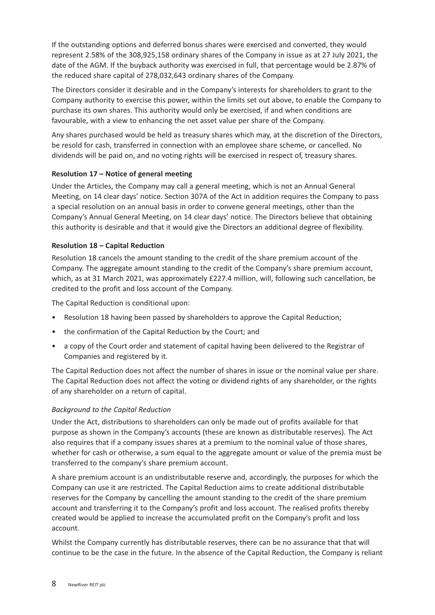If the outstanding options and deferred bonus shares were exercised and converted, they would represent 2.58% of the 308,925,158 ordinary shares of the Company in issue as at 27 July 2021, the date of the AGM. If the buyback authority was exercised in full, that percentage would be 2.87% of the reduced share capital of 278,032,643 ordinary shares of the Company.

The Directors consider it desirable and in the Company's interests for shareholders to grant to the Company authority to exercise this power, within the limits set out above, to enable the Company to purchase its own shares. This authority would only be exercised, if and when conditions are favourable, with a view to enhancing the net asset value per share of the Company.

Any shares purchased would be held as treasury shares which may, at the discretion of the Directors, be resold for cash, transferred in connection with an employee share scheme, or cancelled. No dividends will be paid on, and no voting rights will be exercised in respect of, treasury shares.

# **Resolution 17 – Notice of general meeting**

Under the Articles, the Company may call a general meeting, which is not an Annual General Meeting, on 14 clear days' notice. Section 307A of the Act in addition requires the Company to pass a special resolution on an annual basis in order to convene general meetings, other than the Company's Annual General Meeting, on 14 clear days' notice. The Directors believe that obtaining this authority is desirable and that it would give the Directors an additional degree of flexibility.

#### **Resolution 18 – Capital Reduction**

Resolution 18 cancels the amount standing to the credit of the share premium account of the Company. The aggregate amount standing to the credit of the Company's share premium account, which, as at 31 March 2021, was approximately £227.4 million, will, following such cancellation, be credited to the profit and loss account of the Company.

The Capital Reduction is conditional upon:

- Resolution 18 having been passed by shareholders to approve the Capital Reduction;
- the confirmation of the Capital Reduction by the Court; and
- a copy of the Court order and statement of capital having been delivered to the Registrar of Companies and registered by it.

The Capital Reduction does not affect the number of shares in issue or the nominal value per share. The Capital Reduction does not affect the voting or dividend rights of any shareholder, or the rights of any shareholder on a return of capital.

#### *Background to the Capital Reduction*

Under the Act, distributions to shareholders can only be made out of profits available for that purpose as shown in the Company's accounts (these are known as distributable reserves). The Act also requires that if a company issues shares at a premium to the nominal value of those shares, whether for cash or otherwise, a sum equal to the aggregate amount or value of the premia must be transferred to the company's share premium account.

A share premium account is an undistributable reserve and, accordingly, the purposes for which the Company can use it are restricted. The Capital Reduction aims to create additional distributable reserves for the Company by cancelling the amount standing to the credit of the share premium account and transferring it to the Company's profit and loss account. The realised profits thereby created would be applied to increase the accumulated profit on the Company's profit and loss account.

Whilst the Company currently has distributable reserves, there can be no assurance that that will continue to be the case in the future. In the absence of the Capital Reduction, the Company is reliant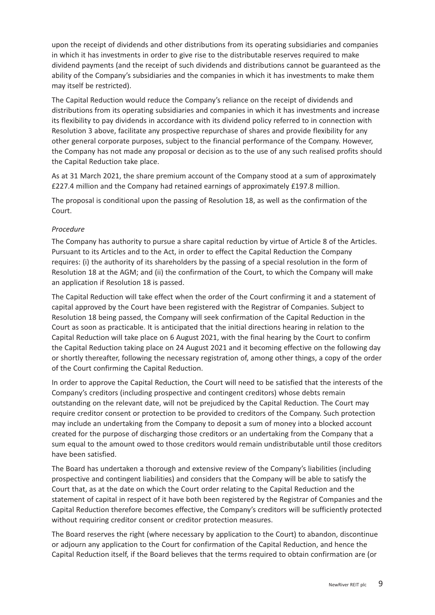upon the receipt of dividends and other distributions from its operating subsidiaries and companies in which it has investments in order to give rise to the distributable reserves required to make dividend payments (and the receipt of such dividends and distributions cannot be guaranteed as the ability of the Company's subsidiaries and the companies in which it has investments to make them may itself be restricted).

The Capital Reduction would reduce the Company's reliance on the receipt of dividends and distributions from its operating subsidiaries and companies in which it has investments and increase its flexibility to pay dividends in accordance with its dividend policy referred to in connection with Resolution 3 above, facilitate any prospective repurchase of shares and provide flexibility for any other general corporate purposes, subject to the financial performance of the Company. However, the Company has not made any proposal or decision as to the use of any such realised profits should the Capital Reduction take place.

As at 31 March 2021, the share premium account of the Company stood at a sum of approximately £227.4 million and the Company had retained earnings of approximately £197.8 million.

The proposal is conditional upon the passing of Resolution 18, as well as the confirmation of the Court.

#### *Procedure*

The Company has authority to pursue a share capital reduction by virtue of Article 8 of the Articles. Pursuant to its Articles and to the Act, in order to effect the Capital Reduction the Company requires: (i) the authority of its shareholders by the passing of a special resolution in the form of Resolution 18 at the AGM; and (ii) the confirmation of the Court, to which the Company will make an application if Resolution 18 is passed.

The Capital Reduction will take effect when the order of the Court confirming it and a statement of capital approved by the Court have been registered with the Registrar of Companies. Subject to Resolution 18 being passed, the Company will seek confirmation of the Capital Reduction in the Court as soon as practicable. It is anticipated that the initial directions hearing in relation to the Capital Reduction will take place on 6 August 2021, with the final hearing by the Court to confirm the Capital Reduction taking place on 24 August 2021 and it becoming effective on the following day or shortly thereafter, following the necessary registration of, among other things, a copy of the order of the Court confirming the Capital Reduction.

In order to approve the Capital Reduction, the Court will need to be satisfied that the interests of the Company's creditors (including prospective and contingent creditors) whose debts remain outstanding on the relevant date, will not be prejudiced by the Capital Reduction. The Court may require creditor consent or protection to be provided to creditors of the Company. Such protection may include an undertaking from the Company to deposit a sum of money into a blocked account created for the purpose of discharging those creditors or an undertaking from the Company that a sum equal to the amount owed to those creditors would remain undistributable until those creditors have been satisfied.

The Board has undertaken a thorough and extensive review of the Company's liabilities (including prospective and contingent liabilities) and considers that the Company will be able to satisfy the Court that, as at the date on which the Court order relating to the Capital Reduction and the statement of capital in respect of it have both been registered by the Registrar of Companies and the Capital Reduction therefore becomes effective, the Company's creditors will be sufficiently protected without requiring creditor consent or creditor protection measures.

The Board reserves the right (where necessary by application to the Court) to abandon, discontinue or adjourn any application to the Court for confirmation of the Capital Reduction, and hence the Capital Reduction itself, if the Board believes that the terms required to obtain confirmation are (or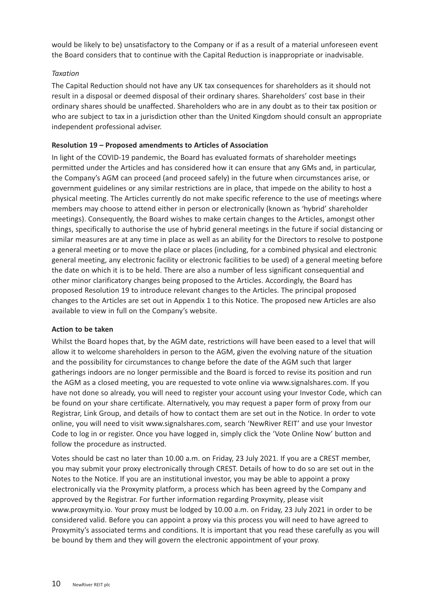would be likely to be) unsatisfactory to the Company or if as a result of a material unforeseen event the Board considers that to continue with the Capital Reduction is inappropriate or inadvisable.

#### *Taxation*

The Capital Reduction should not have any UK tax consequences for shareholders as it should not result in a disposal or deemed disposal of their ordinary shares. Shareholders' cost base in their ordinary shares should be unaffected. Shareholders who are in any doubt as to their tax position or who are subject to tax in a jurisdiction other than the United Kingdom should consult an appropriate independent professional adviser.

#### **Resolution 19 – Proposed amendments to Articles of Association**

In light of the COVID-19 pandemic, the Board has evaluated formats of shareholder meetings permitted under the Articles and has considered how it can ensure that any GMs and, in particular, the Company's AGM can proceed (and proceed safely) in the future when circumstances arise, or government guidelines or any similar restrictions are in place, that impede on the ability to host a physical meeting. The Articles currently do not make specific reference to the use of meetings where members may choose to attend either in person or electronically (known as 'hybrid' shareholder meetings). Consequently, the Board wishes to make certain changes to the Articles, amongst other things, specifically to authorise the use of hybrid general meetings in the future if social distancing or similar measures are at any time in place as well as an ability for the Directors to resolve to postpone a general meeting or to move the place or places (including, for a combined physical and electronic general meeting, any electronic facility or electronic facilities to be used) of a general meeting before the date on which it is to be held. There are also a number of less significant consequential and other minor clarificatory changes being proposed to the Articles. Accordingly, the Board has proposed Resolution 19 to introduce relevant changes to the Articles. The principal proposed changes to the Articles are set out in Appendix 1 to this Notice. The proposed new Articles are also available to view in full on the Company's website.

# **Action to be taken**

Whilst the Board hopes that, by the AGM date, restrictions will have been eased to a level that will allow it to welcome shareholders in person to the AGM, given the evolving nature of the situation and the possibility for circumstances to change before the date of the AGM such that larger gatherings indoors are no longer permissible and the Board is forced to revise its position and run the AGM as a closed meeting, you are requested to vote online via www.signalshares.com. If you have not done so already, you will need to register your account using your Investor Code, which can be found on your share certificate. Alternatively, you may request a paper form of proxy from our Registrar, Link Group, and details of how to contact them are set out in the Notice. In order to vote online, you will need to visit www.signalshares.com, search 'NewRiver REIT' and use your Investor Code to log in or register. Once you have logged in, simply click the 'Vote Online Now' button and follow the procedure as instructed.

Votes should be cast no later than 10.00 a.m. on Friday, 23 July 2021. If you are a CREST member, you may submit your proxy electronically through CREST. Details of how to do so are set out in the Notes to the Notice. If you are an institutional investor, you may be able to appoint a proxy electronically via the Proxymity platform, a process which has been agreed by the Company and approved by the Registrar. For further information regarding Proxymity, please visit www.proxymity.io. Your proxy must be lodged by 10.00 a.m. on Friday, 23 July 2021 in order to be considered valid. Before you can appoint a proxy via this process you will need to have agreed to Proxymity's associated terms and conditions. It is important that you read these carefully as you will be bound by them and they will govern the electronic appointment of your proxy.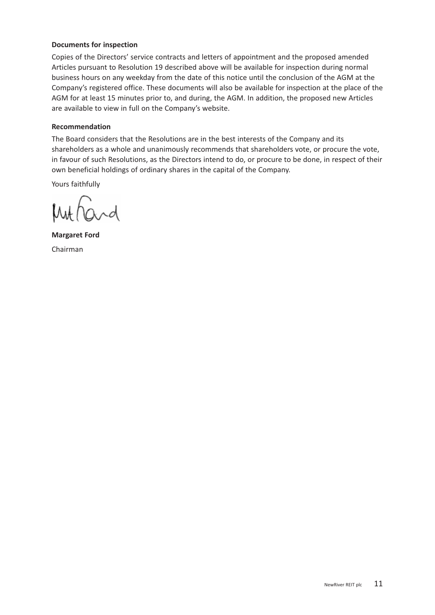#### **Documents for inspection**

Copies of the Directors' service contracts and letters of appointment and the proposed amended Articles pursuant to Resolution 19 described above will be available for inspection during normal business hours on any weekday from the date of this notice until the conclusion of the AGM at the Company's registered office. These documents will also be available for inspection at the place of the AGM for at least 15 minutes prior to, and during, the AGM. In addition, the proposed new Articles are available to view in full on the Company's website.

#### **Recommendation**

The Board considers that the Resolutions are in the best interests of the Company and its shareholders as a whole and unanimously recommends that shareholders vote, or procure the vote, in favour of such Resolutions, as the Directors intend to do, or procure to be done, in respect of their own beneficial holdings of ordinary shares in the capital of the Company.

Yours faithfully

Mithard

**Margaret Ford** Chairman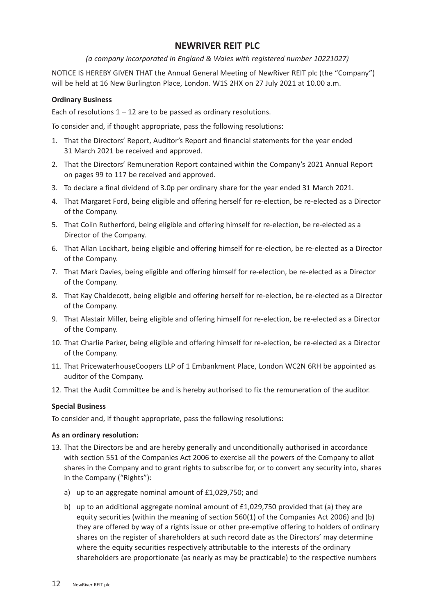# **NEWRIVER REIT PLC**

# *(a company incorporated in England & Wales with registered number 10221027)*

NOTICE IS HEREBY GIVEN THAT the Annual General Meeting of NewRiver REIT plc (the "Company") will be held at 16 New Burlington Place, London. W1S 2HX on 27 July 2021 at 10.00 a.m.

# **Ordinary Business**

Each of resolutions  $1 - 12$  are to be passed as ordinary resolutions.

To consider and, if thought appropriate, pass the following resolutions:

- 1. That the Directors' Report, Auditor's Report and financial statements for the year ended 31 March 2021 be received and approved.
- 2. That the Directors' Remuneration Report contained within the Company's 2021 Annual Report on pages 99 to 117 be received and approved.
- 3. To declare a final dividend of 3.0p per ordinary share for the year ended 31 March 2021.
- 4. That Margaret Ford, being eligible and offering herself for re-election, be re-elected as a Director of the Company.
- 5. That Colin Rutherford, being eligible and offering himself for re-election, be re-elected as a Director of the Company.
- 6. That Allan Lockhart, being eligible and offering himself for re-election, be re-elected as a Director of the Company.
- 7. That Mark Davies, being eligible and offering himself for re-election, be re-elected as a Director of the Company.
- 8. That Kay Chaldecott, being eligible and offering herself for re-election, be re-elected as a Director of the Company.
- 9. That Alastair Miller, being eligible and offering himself for re-election, be re-elected as a Director of the Company.
- 10. That Charlie Parker, being eligible and offering himself for re-election, be re-elected as a Director of the Company.
- 11. That PricewaterhouseCoopers LLP of 1 Embankment Place, London WC2N 6RH be appointed as auditor of the Company.
- 12. That the Audit Committee be and is hereby authorised to fix the remuneration of the auditor.

# **Special Business**

To consider and, if thought appropriate, pass the following resolutions:

# **As an ordinary resolution:**

- 13. That the Directors be and are hereby generally and unconditionally authorised in accordance with section 551 of the Companies Act 2006 to exercise all the powers of the Company to allot shares in the Company and to grant rights to subscribe for, or to convert any security into, shares in the Company ("Rights"):
	- a) up to an aggregate nominal amount of £1,029,750; and
	- b) up to an additional aggregate nominal amount of  $£1,029,750$  provided that (a) they are equity securities (within the meaning of section 560(1) of the Companies Act 2006) and (b) they are offered by way of a rights issue or other pre-emptive offering to holders of ordinary shares on the register of shareholders at such record date as the Directors' may determine where the equity securities respectively attributable to the interests of the ordinary shareholders are proportionate (as nearly as may be practicable) to the respective numbers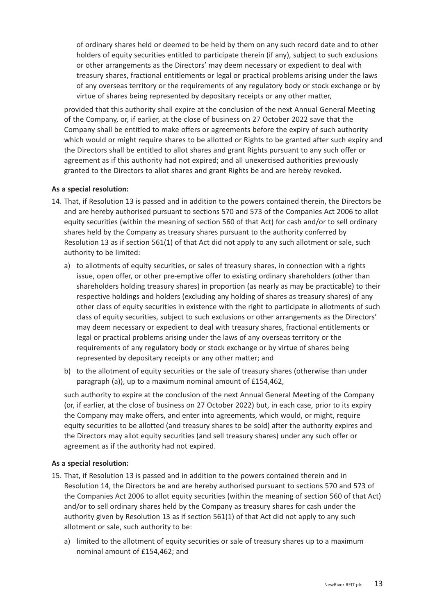of ordinary shares held or deemed to be held by them on any such record date and to other holders of equity securities entitled to participate therein (if any), subject to such exclusions or other arrangements as the Directors' may deem necessary or expedient to deal with treasury shares, fractional entitlements or legal or practical problems arising under the laws of any overseas territory or the requirements of any regulatory body or stock exchange or by virtue of shares being represented by depositary receipts or any other matter,

provided that this authority shall expire at the conclusion of the next Annual General Meeting of the Company, or, if earlier, at the close of business on 27 October 2022 save that the Company shall be entitled to make offers or agreements before the expiry of such authority which would or might require shares to be allotted or Rights to be granted after such expiry and the Directors shall be entitled to allot shares and grant Rights pursuant to any such offer or agreement as if this authority had not expired; and all unexercised authorities previously granted to the Directors to allot shares and grant Rights be and are hereby revoked.

# **As a special resolution:**

- 14. That, if Resolution 13 is passed and in addition to the powers contained therein, the Directors be and are hereby authorised pursuant to sections 570 and 573 of the Companies Act 2006 to allot equity securities (within the meaning of section 560 of that Act) for cash and/or to sell ordinary shares held by the Company as treasury shares pursuant to the authority conferred by Resolution 13 as if section 561(1) of that Act did not apply to any such allotment or sale, such authority to be limited:
	- a) to allotments of equity securities, or sales of treasury shares, in connection with a rights issue, open offer, or other pre-emptive offer to existing ordinary shareholders (other than shareholders holding treasury shares) in proportion (as nearly as may be practicable) to their respective holdings and holders (excluding any holding of shares as treasury shares) of any other class of equity securities in existence with the right to participate in allotments of such class of equity securities, subject to such exclusions or other arrangements as the Directors' may deem necessary or expedient to deal with treasury shares, fractional entitlements or legal or practical problems arising under the laws of any overseas territory or the requirements of any regulatory body or stock exchange or by virtue of shares being represented by depositary receipts or any other matter; and
	- b) to the allotment of equity securities or the sale of treasury shares (otherwise than under paragraph (a)), up to a maximum nominal amount of £154,462,

such authority to expire at the conclusion of the next Annual General Meeting of the Company (or, if earlier, at the close of business on 27 October 2022) but, in each case, prior to its expiry the Company may make offers, and enter into agreements, which would, or might, require equity securities to be allotted (and treasury shares to be sold) after the authority expires and the Directors may allot equity securities (and sell treasury shares) under any such offer or agreement as if the authority had not expired.

# **As a special resolution:**

- 15. That, if Resolution 13 is passed and in addition to the powers contained therein and in Resolution 14, the Directors be and are hereby authorised pursuant to sections 570 and 573 of the Companies Act 2006 to allot equity securities (within the meaning of section 560 of that Act) and/or to sell ordinary shares held by the Company as treasury shares for cash under the authority given by Resolution 13 as if section 561(1) of that Act did not apply to any such allotment or sale, such authority to be:
	- a) limited to the allotment of equity securities or sale of treasury shares up to a maximum nominal amount of £154,462; and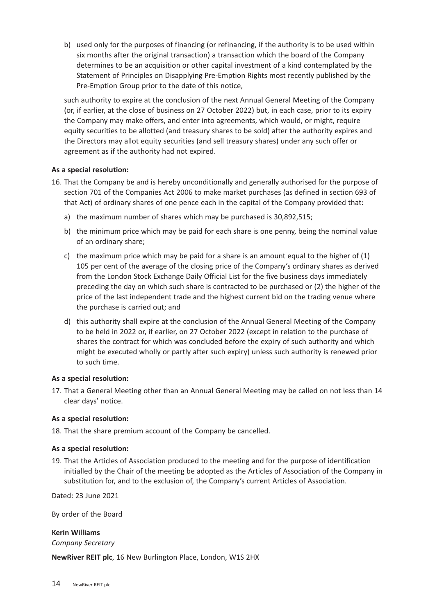b) used only for the purposes of financing (or refinancing, if the authority is to be used within six months after the original transaction) a transaction which the board of the Company determines to be an acquisition or other capital investment of a kind contemplated by the Statement of Principles on Disapplying Pre-Emption Rights most recently published by the Pre-Emption Group prior to the date of this notice.

such authority to expire at the conclusion of the next Annual General Meeting of the Company (or, if earlier, at the close of business on 27 October 2022) but, in each case, prior to its expiry the Company may make offers, and enter into agreements, which would, or might, require equity securities to be allotted (and treasury shares to be sold) after the authority expires and the Directors may allot equity securities (and sell treasury shares) under any such offer or agreement as if the authority had not expired.

#### **As a special resolution:**

- 16. That the Company be and is hereby unconditionally and generally authorised for the purpose of section 701 of the Companies Act 2006 to make market purchases (as defined in section 693 of that Act) of ordinary shares of one pence each in the capital of the Company provided that:
	- a) the maximum number of shares which may be purchased is 30,892,515;
	- b) the minimum price which may be paid for each share is one penny, being the nominal value of an ordinary share;
	- c) the maximum price which may be paid for a share is an amount equal to the higher of  $(1)$ 105 per cent of the average of the closing price of the Company's ordinary shares as derived from the London Stock Exchange Daily Official List for the five business days immediately preceding the day on which such share is contracted to be purchased or (2) the higher of the price of the last independent trade and the highest current bid on the trading venue where the purchase is carried out; and
	- d) this authority shall expire at the conclusion of the Annual General Meeting of the Company to be held in 2022 or, if earlier, on 27 October 2022 (except in relation to the purchase of shares the contract for which was concluded before the expiry of such authority and which might be executed wholly or partly after such expiry) unless such authority is renewed prior to such time.

#### **As a special resolution:**

17. That a General Meeting other than an Annual General Meeting may be called on not less than 14 clear days' notice.

#### **As a special resolution:**

18. That the share premium account of the Company be cancelled.

#### **As a special resolution:**

19. That the Articles of Association produced to the meeting and for the purpose of identification initialled by the Chair of the meeting be adopted as the Articles of Association of the Company in substitution for, and to the exclusion of, the Company's current Articles of Association.

Dated: 23 June 2021

By order of the Board

**Kerin Williams** *Company Secretary*

**NewRiver REIT plc**, 16 New Burlington Place, London, W1S 2HX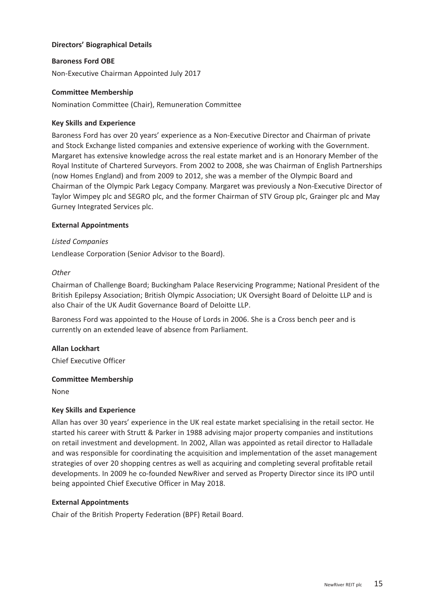#### **Directors' Biographical Details**

#### **Baroness Ford OBE**

NonExecutive Chairman Appointed July 2017

#### **Committee Membership**

Nomination Committee (Chair), Remuneration Committee

#### **Key Skills and Experience**

Baroness Ford has over 20 years' experience as a Non-Executive Director and Chairman of private and Stock Exchange listed companies and extensive experience of working with the Government. Margaret has extensive knowledge across the real estate market and is an Honorary Member of the Royal Institute of Chartered Surveyors. From 2002 to 2008, she was Chairman of English Partnerships (now Homes England) and from 2009 to 2012, she was a member of the Olympic Board and Chairman of the Olympic Park Legacy Company. Margaret was previously a Non-Executive Director of Taylor Wimpey plc and SEGRO plc, and the former Chairman of STV Group plc, Grainger plc and May Gurney Integrated Services plc.

#### **External Appointments**

#### *Listed Companies*

Lendlease Corporation (Senior Advisor to the Board).

#### *Other*

Chairman of Challenge Board; Buckingham Palace Reservicing Programme; National President of the British Epilepsy Association; British Olympic Association; UK Oversight Board of Deloitte LLP and is also Chair of the UK Audit Governance Board of Deloitte LLP.

Baroness Ford was appointed to the House of Lords in 2006. She is a Cross bench peer and is currently on an extended leave of absence from Parliament.

# **Allan Lockhart**

Chief Executive Officer

#### **Committee Membership**

None

#### **Key Skills and Experience**

Allan has over 30 years' experience in the UK real estate market specialising in the retail sector. He started his career with Strutt & Parker in 1988 advising major property companies and institutions on retail investment and development. In 2002, Allan was appointed as retail director to Halladale and was responsible for coordinating the acquisition and implementation of the asset management strategies of over 20 shopping centres as well as acquiring and completing several profitable retail developments. In 2009 he co-founded NewRiver and served as Property Director since its IPO until being appointed Chief Executive Officer in May 2018.

#### **External Appointments**

Chair of the British Property Federation (BPF) Retail Board.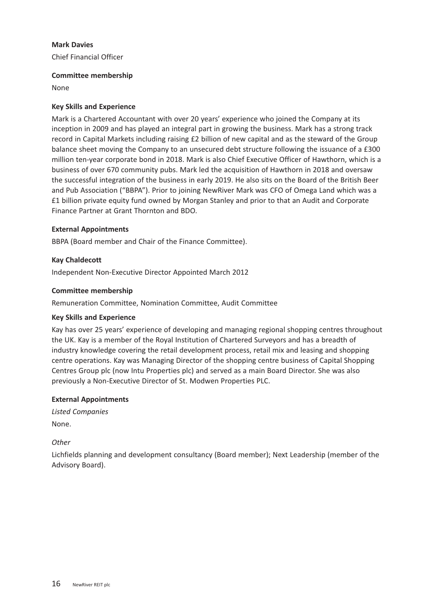#### **Mark Davies**

Chief Financial Officer

#### **Committee membership**

None

#### **Key Skills and Experience**

Mark is a Chartered Accountant with over 20 years' experience who joined the Company at its inception in 2009 and has played an integral part in growing the business. Mark has a strong track record in Capital Markets including raising £2 billion of new capital and as the steward of the Group balance sheet moving the Company to an unsecured debt structure following the issuance of a £300 million tenyear corporate bond in 2018. Mark is also Chief Executive Officer of Hawthorn, which is a business of over 670 community pubs. Mark led the acquisition of Hawthorn in 2018 and oversaw the successful integration of the business in early 2019. He also sits on the Board of the British Beer and Pub Association ("BBPA"). Prior to joining NewRiver Mark was CFO of Omega Land which was a £1 billion private equity fund owned by Morgan Stanley and prior to that an Audit and Corporate Finance Partner at Grant Thornton and BDO.

#### **External Appointments**

BBPA (Board member and Chair of the Finance Committee).

#### **Kay Chaldecott**

Independent Non-Executive Director Appointed March 2012

#### **Committee membership**

Remuneration Committee, Nomination Committee, Audit Committee

#### **Key Skills and Experience**

Kay has over 25 years' experience of developing and managing regional shopping centres throughout the UK. Kay is a member of the Royal Institution of Chartered Surveyors and has a breadth of industry knowledge covering the retail development process, retail mix and leasing and shopping centre operations. Kay was Managing Director of the shopping centre business of Capital Shopping Centres Group plc (now Intu Properties plc) and served as a main Board Director. She was also previously a Non-Executive Director of St. Modwen Properties PLC.

#### **External Appointments**

*Listed Companies* None.

*Other*

Lichfields planning and development consultancy (Board member); Next Leadership (member of the Advisory Board).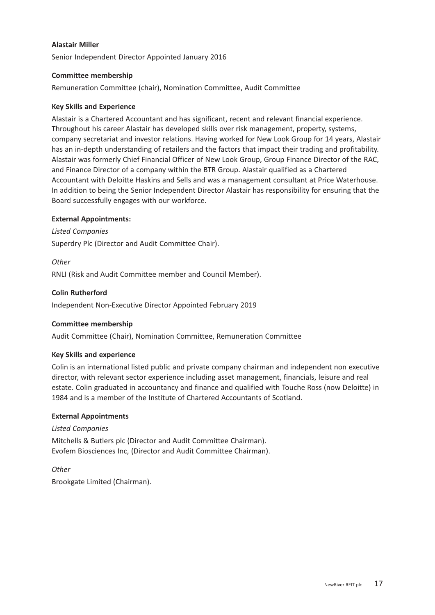#### **Alastair Miller**

Senior Independent Director Appointed January 2016

#### **Committee membership**

Remuneration Committee (chair), Nomination Committee, Audit Committee

#### **Key Skills and Experience**

Alastair is a Chartered Accountant and has significant, recent and relevant financial experience. Throughout his career Alastair has developed skills over risk management, property, systems, company secretariat and investor relations. Having worked for New Look Group for 14 years, Alastair has an in-depth understanding of retailers and the factors that impact their trading and profitability. Alastair was formerly Chief Financial Officer of New Look Group, Group Finance Director of the RAC, and Finance Director of a company within the BTR Group. Alastair qualified as a Chartered Accountant with Deloitte Haskins and Sells and was a management consultant at Price Waterhouse. In addition to being the Senior Independent Director Alastair has responsibility for ensuring that the Board successfully engages with our workforce.

#### **External Appointments:**

*Listed Companies*

Superdry Plc (Director and Audit Committee Chair).

*Other*

RNLI (Risk and Audit Committee member and Council Member).

#### **Colin Rutherford**

Independent Non-Executive Director Appointed February 2019

#### **Committee membership**

Audit Committee (Chair), Nomination Committee, Remuneration Committee

# **Key Skills and experience**

Colin is an international listed public and private company chairman and independent non executive director, with relevant sector experience including asset management, financials, leisure and real estate. Colin graduated in accountancy and finance and qualified with Touche Ross (now Deloitte) in 1984 and is a member of the Institute of Chartered Accountants of Scotland.

#### **External Appointments**

*Listed Companies* Mitchells & Butlers plc (Director and Audit Committee Chairman). Evofem Biosciences Inc, (Director and Audit Committee Chairman).

*Other* Brookgate Limited (Chairman).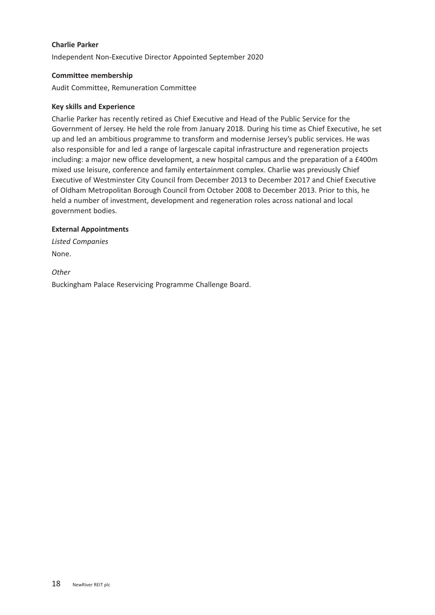#### **Charlie Parker**

Independent Non-Executive Director Appointed September 2020

#### **Committee membership**

Audit Committee, Remuneration Committee

#### **Key skills and Experience**

Charlie Parker has recently retired as Chief Executive and Head of the Public Service for the Government of Jersey. He held the role from January 2018. During his time as Chief Executive, he set up and led an ambitious programme to transform and modernise Jersey's public services. He was also responsible for and led a range of largescale capital infrastructure and regeneration projects including: a major new office development, a new hospital campus and the preparation of a £400m mixed use leisure, conference and family entertainment complex. Charlie was previously Chief Executive of Westminster City Council from December 2013 to December 2017 and Chief Executive of Oldham Metropolitan Borough Council from October 2008 to December 2013. Prior to this, he held a number of investment, development and regeneration roles across national and local government bodies.

#### **External Appointments**

*Listed Companies* None.

*Other*

Buckingham Palace Reservicing Programme Challenge Board.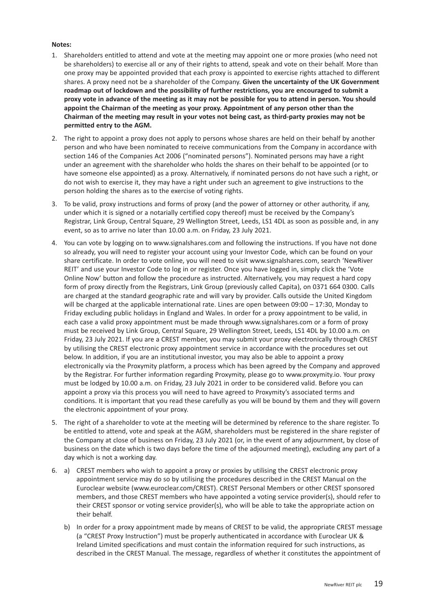#### **Notes:**

- 1. Shareholders entitled to attend and vote at the meeting may appoint one or more proxies (who need not be shareholders) to exercise all or any of their rights to attend, speak and vote on their behalf. More than one proxy may be appointed provided that each proxy is appointed to exercise rights attached to different shares. A proxy need not be a shareholder of the Company. **Given the uncertainty of the UK Government roadmap out of lockdown and the possibility of further restrictions, you are encouraged to submit a proxy vote in advance of the meeting as it may not be possible for you to attend in person. You should appoint the Chairman of the meeting as your proxy. Appointment of any person other than the** Chairman of the meeting may result in your votes not being cast, as third-party proxies may not be **permitted entry to the AGM.**
- 2. The right to appoint a proxy does not apply to persons whose shares are held on their behalf by another person and who have been nominated to receive communications from the Company in accordance with section 146 of the Companies Act 2006 ("nominated persons"). Nominated persons may have a right under an agreement with the shareholder who holds the shares on their behalf to be appointed (or to have someone else appointed) as a proxy. Alternatively, if nominated persons do not have such a right, or do not wish to exercise it, they may have a right under such an agreement to give instructions to the person holding the shares as to the exercise of voting rights.
- 3. To be valid, proxy instructions and forms of proxy (and the power of attorney or other authority, if any, under which it is signed or a notarially certified copy thereof) must be received by the Company's Registrar, Link Group, Central Square, 29 Wellington Street, Leeds, LS1 4DL as soon as possible and, in any event, so as to arrive no later than 10.00 a.m. on Friday, 23 July 2021.
- 4. You can vote by logging on to www.signalshares.com and following the instructions. If you have not done so already, you will need to register your account using your Investor Code, which can be found on your share certificate. In order to vote online, you will need to visit www.signalshares.com, search 'NewRiver REIT' and use your Investor Code to log in or register. Once you have logged in, simply click the 'Vote Online Now' button and follow the procedure as instructed. Alternatively, you may request a hard copy form of proxy directly from the Registrars, Link Group (previously called Capita), on 0371 664 0300. Calls are charged at the standard geographic rate and will vary by provider. Calls outside the United Kingdom will be charged at the applicable international rate. Lines are open between 09:00 – 17:30, Monday to Friday excluding public holidays in England and Wales. In order for a proxy appointment to be valid, in each case a valid proxy appointment must be made through www.signalshares.com or a form of proxy must be received by Link Group, Central Square, 29 Wellington Street, Leeds, LS1 4DL by 10.00 a.m. on Friday, 23 July 2021. If you are a CREST member, you may submit your proxy electronically through CREST by utilising the CREST electronic proxy appointment service in accordance with the procedures set out below. In addition, if you are an institutional investor, you may also be able to appoint a proxy electronically via the Proxymity platform, a process which has been agreed by the Company and approved by the Registrar. For further information regarding Proxymity, please go to www.proxymity.io. Your proxy must be lodged by 10.00 a.m. on Friday, 23 July 2021 in order to be considered valid. Before you can appoint a proxy via this process you will need to have agreed to Proxymity's associated terms and conditions. It is important that you read these carefully as you will be bound by them and they will govern the electronic appointment of your proxy.
- 5. The right of a shareholder to vote at the meeting will be determined by reference to the share register. To be entitled to attend, vote and speak at the AGM, shareholders must be registered in the share register of the Company at close of business on Friday, 23 July 2021 (or, in the event of any adjournment, by close of business on the date which is two days before the time of the adjourned meeting), excluding any part of a day which is not a working day.
- 6. a) CREST members who wish to appoint a proxy or proxies by utilising the CREST electronic proxy appointment service may do so by utilising the procedures described in the CREST Manual on the Euroclear website (www.euroclear.com/CREST). CREST Personal Members or other CREST sponsored members, and those CREST members who have appointed a voting service provider(s), should refer to their CREST sponsor or voting service provider(s), who will be able to take the appropriate action on their behalf.
	- b) In order for a proxy appointment made by means of CREST to be valid, the appropriate CREST message (a "CREST Proxy Instruction") must be properly authenticated in accordance with Euroclear UK & Ireland Limited specifications and must contain the information required for such instructions, as described in the CREST Manual. The message, regardless of whether it constitutes the appointment of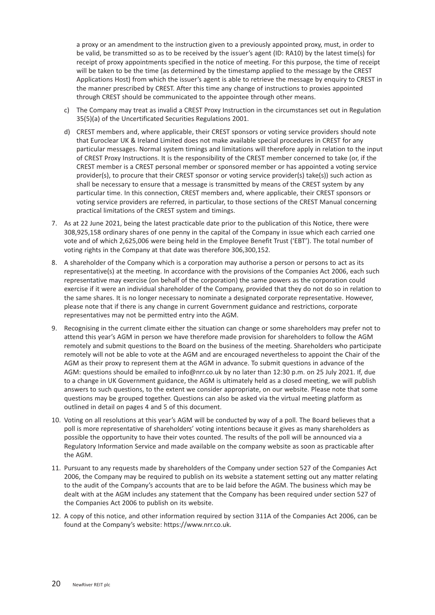a proxy or an amendment to the instruction given to a previously appointed proxy, must, in order to be valid, be transmitted so as to be received by the issuer's agent (ID: RA10) by the latest time(s) for receipt of proxy appointments specified in the notice of meeting. For this purpose, the time of receipt will be taken to be the time (as determined by the timestamp applied to the message by the CREST Applications Host) from which the issuer's agent is able to retrieve the message by enquiry to CREST in the manner prescribed by CREST. After this time any change of instructions to proxies appointed through CREST should be communicated to the appointee through other means.

- c) The Company may treat as invalid a CREST Proxy Instruction in the circumstances set out in Regulation 35(5)(a) of the Uncertificated Securities Regulations 2001.
- d) CREST members and, where applicable, their CREST sponsors or voting service providers should note that Euroclear UK & Ireland Limited does not make available special procedures in CREST for any particular messages. Normal system timings and limitations will therefore apply in relation to the input of CREST Proxy Instructions. It is the responsibility of the CREST member concerned to take (or, if the CREST member is a CREST personal member or sponsored member or has appointed a voting service provider(s), to procure that their CREST sponsor or voting service provider(s) take(s)) such action as shall be necessary to ensure that a message is transmitted by means of the CREST system by any particular time. In this connection, CREST members and, where applicable, their CREST sponsors or voting service providers are referred, in particular, to those sections of the CREST Manual concerning practical limitations of the CREST system and timings.
- 7. As at 22 June 2021, being the latest practicable date prior to the publication of this Notice, there were 308,925,158 ordinary shares of one penny in the capital of the Company in issue which each carried one vote and of which 2,625,006 were being held in the Employee Benefit Trust ('EBT'). The total number of voting rights in the Company at that date was therefore 306,300,152.
- 8. A shareholder of the Company which is a corporation may authorise a person or persons to act as its representative(s) at the meeting. In accordance with the provisions of the Companies Act 2006, each such representative may exercise (on behalf of the corporation) the same powers as the corporation could exercise if it were an individual shareholder of the Company, provided that they do not do so in relation to the same shares. It is no longer necessary to nominate a designated corporate representative. However, please note that if there is any change in current Government guidance and restrictions, corporate representatives may not be permitted entry into the AGM.
- 9. Recognising in the current climate either the situation can change or some shareholders may prefer not to attend this year's AGM in person we have therefore made provision for shareholders to follow the AGM remotely and submit questions to the Board on the business of the meeting. Shareholders who participate remotely will not be able to vote at the AGM and are encouraged nevertheless to appoint the Chair of the AGM as their proxy to represent them at the AGM in advance. To submit questions in advance of the AGM: questions should be emailed to info@nrr.co.uk by no later than 12:30 p.m. on 25 July 2021. If, due to a change in UK Government guidance, the AGM is ultimately held as a closed meeting, we will publish answers to such questions, to the extent we consider appropriate, on our website. Please note that some questions may be grouped together. Questions can also be asked via the virtual meeting platform as outlined in detail on pages 4 and 5 of this document.
- 10. Voting on all resolutions at this year's AGM will be conducted by way of a poll. The Board believes that a poll is more representative of shareholders' voting intentions because it gives as many shareholders as possible the opportunity to have their votes counted. The results of the poll will be announced via a Regulatory Information Service and made available on the company website as soon as practicable after the AGM.
- 11. Pursuant to any requests made by shareholders of the Company under section 527 of the Companies Act 2006, the Company may be required to publish on its website a statement setting out any matter relating to the audit of the Company's accounts that are to be laid before the AGM. The business which may be dealt with at the AGM includes any statement that the Company has been required under section 527 of the Companies Act 2006 to publish on its website.
- 12. A copy of this notice, and other information required by section 311A of the Companies Act 2006, can be found at the Company's website: https://www.nrr.co.uk.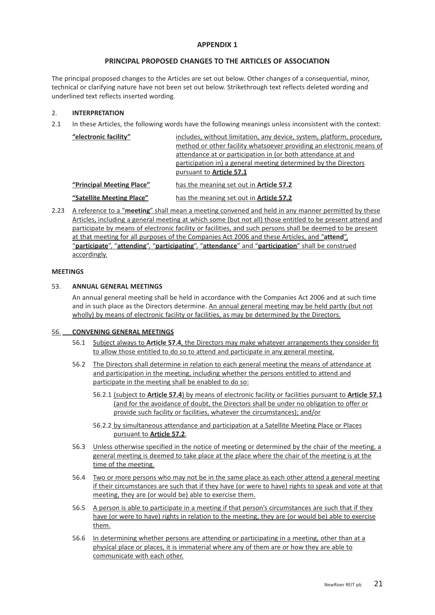#### **APPENDIX 1**

#### **PRINCIPAL PROPOSED CHANGES TO THE ARTICLES OF ASSOCIATION**

The principal proposed changes to the Articles are set out below. Other changes of a consequential, minor, technical or clarifying nature have not been set out below. Strikethrough text reflects deleted wording and underlined text reflects inserted wording.

#### 2. **INTERPRETATION**

2.1 In these Articles, the following words have the following meanings unless inconsistent with the context:

| "electronic facility"     | includes, without limitation, any device, system, platform, procedure,<br>method or other facility whatsoever providing an electronic means of |  |
|---------------------------|------------------------------------------------------------------------------------------------------------------------------------------------|--|
|                           | attendance at or participation in (or both attendance at and                                                                                   |  |
|                           | participation in) a general meeting determined by the Directors<br>pursuant to Article 57.1                                                    |  |
| "Principal Meeting Place" | has the meaning set out in <b>Article 57.2</b>                                                                                                 |  |
| "Satellite Meeting Place" | has the meaning set out in <b>Article 57.2</b>                                                                                                 |  |

2.23 A reference to a "**meeting**" shall mean a meeting convened and held in any manner permitted by these Articles, including a general meeting at which some (but not all) those entitled to be present attend and participate by means of electronic facility or facilities, and such persons shall be deemed to be present at that meeting for all purposes of the Companies Act 2006 and these Articles, and "**attend**", "**participate**", "**attending**", "**participating**", "**attendance**" and "**participation**" shall be construed accordingly.

#### **MEETINGS**

#### 53. **ANNUAL GENERAL MEETINGS**

An annual general meeting shall be held in accordance with the Companies Act 2006 and at such time and in such place as the Directors determine. An annual general meeting may be held partly (but not wholly) by means of electronic facility or facilities, as may be determined by the Directors.

#### 56. **CONVENING GENERAL MEETINGS**

- 56.1 Subject always to **Article 57.4**, the Directors may make whatever arrangements they consider fit to allow those entitled to do so to attend and participate in any general meeting.
- 56.2 The Directors shall determine in relation to each general meeting the means of attendance at and participation in the meeting, including whether the persons entitled to attend and participate in the meeting shall be enabled to do so:
	- 56.2.1 (subject to **Article 57.4**) by means of electronic facility or facilities pursuant to **Article 57.1** (and for the avoidance of doubt, the Directors shall be under no obligation to offer or provide such facility or facilities, whatever the circumstances); and/or
	- 56.2.2 by simultaneous attendance and participation at a Satellite Meeting Place or Places pursuant to **Article 57.2**.
- 56.3 Unless otherwise specified in the notice of meeting or determined by the chair of the meeting, a general meeting is deemed to take place at the place where the chair of the meeting is at the time of the meeting.
- 56.4 Two or more persons who may not be in the same place as each other attend a general meeting if their circumstances are such that if they have (or were to have) rights to speak and vote at that meeting, they are (or would be) able to exercise them.
- 56.5 A person is able to participate in a meeting if that person's circumstances are such that if they have (or were to have) rights in relation to the meeting, they are (or would be) able to exercise them.
- 56.6 In determining whether persons are attending or participating in a meeting, other than at a physical place or places, it is immaterial where any of them are or how they are able to communicate with each other.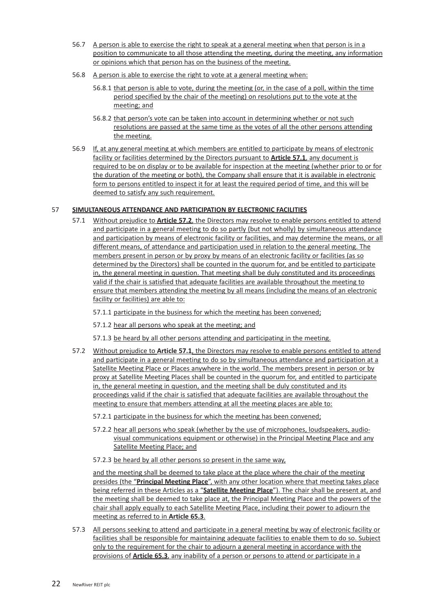- 56.7 A person is able to exercise the right to speak at a general meeting when that person is in a position to communicate to all those attending the meeting, during the meeting, any information or opinions which that person has on the business of the meeting.
- 56.8 A person is able to exercise the right to vote at a general meeting when:
	- 56.8.1 that person is able to vote, during the meeting (or, in the case of a poll, within the time period specified by the chair of the meeting) on resolutions put to the vote at the meeting; and
	- 56.8.2 that person's vote can be taken into account in determining whether or not such resolutions are passed at the same time as the votes of all the other persons attending the meeting.
- 56.9 If, at any general meeting at which members are entitled to participate by means of electronic facility or facilities determined by the Directors pursuant to **Article 57.1**, any document is required to be on display or to be available for inspection at the meeting (whether prior to or for the duration of the meeting or both), the Company shall ensure that it is available in electronic form to persons entitled to inspect it for at least the required period of time, and this will be deemed to satisfy any such requirement.

#### 57 **SIMULTANEOUS ATTENDANCE AND PARTICIPATION BY ELECTRONIC FACILITIES**

- 57.1 Without prejudice to **Article 57.2**, the Directors may resolve to enable persons entitled to attend and participate in a general meeting to do so partly (but not wholly) by simultaneous attendance and participation by means of electronic facility or facilities, and may determine the means, or all different means, of attendance and participation used in relation to the general meeting. The members present in person or by proxy by means of an electronic facility or facilities (as so determined by the Directors) shall be counted in the quorum for, and be entitled to participate in, the general meeting in question. That meeting shall be duly constituted and its proceedings valid if the chair is satisfied that adequate facilities are available throughout the meeting to ensure that members attending the meeting by all means (including the means of an electronic facility or facilities) are able to:
	- 57.1.1 participate in the business for which the meeting has been convened;
	- 57.1.2 hear all persons who speak at the meeting; and
	- 57.1.3 be heard by all other persons attending and participating in the meeting.
- 57.2 Without prejudice to **Article 57.1**, the Directors may resolve to enable persons entitled to attend and participate in a general meeting to do so by simultaneous attendance and participation at a Satellite Meeting Place or Places anywhere in the world. The members present in person or by proxy at Satellite Meeting Places shall be counted in the quorum for, and entitled to participate in, the general meeting in question, and the meeting shall be duly constituted and its proceedings valid if the chair is satisfied that adequate facilities are available throughout the meeting to ensure that members attending at all the meeting places are able to:
	- 57.2.1 participate in the business for which the meeting has been convened;
	- 57.2.2 hear all persons who speak (whether by the use of microphones, loudspeakers, audiovisual communications equipment or otherwise) in the Principal Meeting Place and any Satellite Meeting Place; and
	- 57.2.3 be heard by all other persons so present in the same way,

and the meeting shall be deemed to take place at the place where the chair of the meeting presides (the "**Principal Meeting Place**", with any other location where that meeting takes place being referred in these Articles as a "**Satellite Meeting Place**"). The chair shall be present at, and the meeting shall be deemed to take place at, the Principal Meeting Place and the powers of the chair shall apply equally to each Satellite Meeting Place, including their power to adjourn the meeting as referred to in **Article 65.3**.

57.3 All persons seeking to attend and participate in a general meeting by way of electronic facility or facilities shall be responsible for maintaining adequate facilities to enable them to do so. Subject only to the requirement for the chair to adjourn a general meeting in accordance with the provisions of **Article 65.3**, any inability of a person or persons to attend or participate in a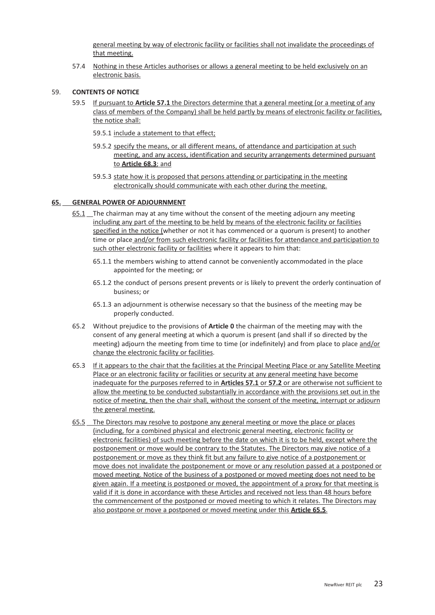general meeting by way of electronic facility or facilities shall not invalidate the proceedings of that meeting.

57.4 Nothing in these Articles authorises or allows a general meeting to be held exclusively on an electronic basis.

#### 59. **CONTENTS OF NOTICE**

- 59.5 If pursuant to **Article 57.1** the Directors determine that a general meeting (or a meeting of any class of members of the Company) shall be held partly by means of electronic facility or facilities, the notice shall:
	- 59.5.1 include a statement to that effect;
	- 59.5.2 specify the means, or all different means, of attendance and participation at such meeting, and any access, identification and security arrangements determined pursuant to **Article 68.3**; and
	- 59.5.3 state how it is proposed that persons attending or participating in the meeting electronically should communicate with each other during the meeting.

#### **65. GENERAL POWER OF ADJOURNMENT**

- 65.1 The chairman may at any time without the consent of the meeting adjourn any meeting including any part of the meeting to be held by means of the electronic facility or facilities specified in the notice (whether or not it has commenced or a quorum is present) to another time or place and/or from such electronic facility or facilities for attendance and participation to such other electronic facility or facilities where it appears to him that:
	- 65.1.1 the members wishing to attend cannot be conveniently accommodated in the place appointed for the meeting; or
	- 65.1.2 the conduct of persons present prevents or is likely to prevent the orderly continuation of business; or
	- 65.1.3 an adjournment is otherwise necessary so that the business of the meeting may be properly conducted.
- 65.2 Without prejudice to the provisions of **Article 0** the chairman of the meeting may with the consent of any general meeting at which a quorum is present (and shall if so directed by the meeting) adjourn the meeting from time to time (or indefinitely) and from place to place and/or change the electronic facility or facilities.
- 65.3 If it appears to the chair that the facilities at the Principal Meeting Place or any Satellite Meeting Place or an electronic facility or facilities or security at any general meeting have become inadequate for the purposes referred to in **Articles 57.1** or **57.2** or are otherwise not sufficient to allow the meeting to be conducted substantially in accordance with the provisions set out in the notice of meeting, then the chair shall, without the consent of the meeting, interrupt or adjourn the general meeting.
- 65.5 The Directors may resolve to postpone any general meeting or move the place or places (including, for a combined physical and electronic general meeting, electronic facility or electronic facilities) of such meeting before the date on which it is to be held, except where the postponement or move would be contrary to the Statutes. The Directors may give notice of a postponement or move as they think fit but any failure to give notice of a postponement or move does not invalidate the postponement or move or any resolution passed at a postponed or moved meeting. Notice of the business of a postponed or moved meeting does not need to be given again. If a meeting is postponed or moved, the appointment of a proxy for that meeting is valid if it is done in accordance with these Articles and received not less than 48 hours before the commencement of the postponed or moved meeting to which it relates. The Directors may also postpone or move a postponed or moved meeting under this **Article 65.5**.